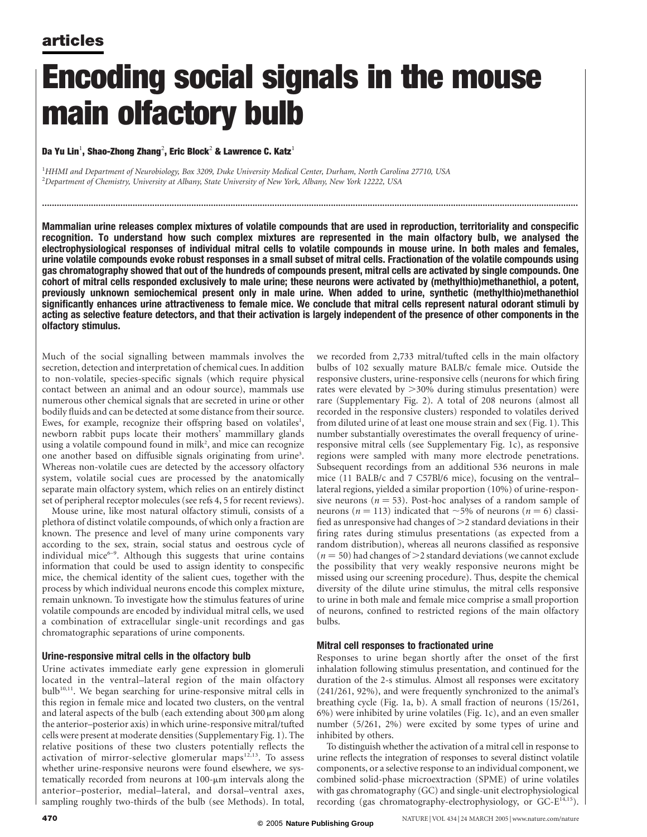# Encoding social signals in the mouse main olfactory bulb

### Da Yu Lin $^1$ , Shao-Zhong Zhang $^2$ , Eric Block $^2$  & Lawrence C. Katz $^1$

<sup>1</sup>HHMI and Department of Neurobiology, Box 3209, Duke University Medical Center, Durham, North Carolina 27710, USA  $^2$ Department of Chemistry, University at Albany, State University of New York, Albany, New York 12222, USA

Mammalian urine releases complex mixtures of volatile compounds that are used in reproduction, territoriality and conspecific recognition. To understand how such complex mixtures are represented in the main olfactory bulb, we analysed the electrophysiological responses of individual mitral cells to volatile compounds in mouse urine. In both males and females, urine volatile compounds evoke robust responses in a small subset of mitral cells. Fractionation of the volatile compounds using gas chromatography showed that out of the hundreds of compounds present, mitral cells are activated by single compounds. One cohort of mitral cells responded exclusively to male urine; these neurons were activated by (methylthio)methanethiol, a potent, previously unknown semiochemical present only in male urine. When added to urine, synthetic (methylthio)methanethiol significantly enhances urine attractiveness to female mice. We conclude that mitral cells represent natural odorant stimuli by acting as selective feature detectors, and that their activation is largely independent of the presence of other components in the olfactory stimulus.

...........................................................................................................................................................................................................................

Much of the social signalling between mammals involves the secretion, detection and interpretation of chemical cues. In addition to non-volatile, species-specific signals (which require physical contact between an animal and an odour source), mammals use numerous other chemical signals that are secreted in urine or other bodily fluids and can be detected at some distance from their source. Ewes, for example, recognize their offspring based on volatiles<sup>1</sup>, newborn rabbit pups locate their mothers' mammillary glands using a volatile compound found in milk<sup>2</sup>, and mice can recognize one another based on diffusible signals originating from urine<sup>3</sup>. Whereas non-volatile cues are detected by the accessory olfactory system, volatile social cues are processed by the anatomically separate main olfactory system, which relies on an entirely distinct set of peripheral receptor molecules (see refs 4, 5 for recent reviews).

Mouse urine, like most natural olfactory stimuli, consists of a plethora of distinct volatile compounds, of which only a fraction are known. The presence and level of many urine components vary according to the sex, strain, social status and oestrous cycle of individual mice $6-9$ . Although this suggests that urine contains information that could be used to assign identity to conspecific mice, the chemical identity of the salient cues, together with the process by which individual neurons encode this complex mixture, remain unknown. To investigate how the stimulus features of urine volatile compounds are encoded by individual mitral cells, we used a combination of extracellular single-unit recordings and gas chromatographic separations of urine components.

### Urine-responsive mitral cells in the olfactory bulb

Urine activates immediate early gene expression in glomeruli located in the ventral–lateral region of the main olfactory bulb<sup>10,11</sup>. We began searching for urine-responsive mitral cells in this region in female mice and located two clusters, on the ventral and lateral aspects of the bulb (each extending about  $300 \mu m$  along the anterior–posterior axis) in which urine-responsive mitral/tufted cells were present at moderate densities (Supplementary Fig. 1). The relative positions of these two clusters potentially reflects the activation of mirror-selective glomerular maps<sup>12,13</sup>. To assess whether urine-responsive neurons were found elsewhere, we systematically recorded from neurons at  $100$ - $\mu$ m intervals along the anterior–posterior, medial–lateral, and dorsal–ventral axes, sampling roughly two-thirds of the bulb (see Methods). In total,

we recorded from 2,733 mitral/tufted cells in the main olfactory bulbs of 102 sexually mature BALB/c female mice. Outside the responsive clusters, urine-responsive cells (neurons for which firing rates were elevated by  $>$ 30% during stimulus presentation) were rare (Supplementary Fig. 2). A total of 208 neurons (almost all recorded in the responsive clusters) responded to volatiles derived from diluted urine of at least one mouse strain and sex (Fig. 1). This number substantially overestimates the overall frequency of urineresponsive mitral cells (see Supplementary Fig. 1c), as responsive regions were sampled with many more electrode penetrations. Subsequent recordings from an additional 536 neurons in male mice (11 BALB/c and 7 C57Bl/6 mice), focusing on the ventral– lateral regions, yielded a similar proportion (10%) of urine-responsive neurons ( $n = 53$ ). Post-hoc analyses of a random sample of neurons ( $n = 113$ ) indicated that  $\sim$ 5% of neurons ( $n = 6$ ) classified as unresponsive had changes of  $\geq$ 2 standard deviations in their firing rates during stimulus presentations (as expected from a random distribution), whereas all neurons classified as responsive  $(n = 50)$  had changes of  $\geq$ 2 standard deviations (we cannot exclude the possibility that very weakly responsive neurons might be missed using our screening procedure). Thus, despite the chemical diversity of the dilute urine stimulus, the mitral cells responsive to urine in both male and female mice comprise a small proportion of neurons, confined to restricted regions of the main olfactory bulbs.

### Mitral cell responses to fractionated urine

Responses to urine began shortly after the onset of the first inhalation following stimulus presentation, and continued for the duration of the 2-s stimulus. Almost all responses were excitatory (241/261, 92%), and were frequently synchronized to the animal's breathing cycle (Fig. 1a, b). A small fraction of neurons (15/261, 6%) were inhibited by urine volatiles (Fig. 1c), and an even smaller number (5/261, 2%) were excited by some types of urine and inhibited by others.

To distinguish whether the activation of a mitral cell in response to urine reflects the integration of responses to several distinct volatile components, or a selective response to an individual component, we combined solid-phase microextraction (SPME) of urine volatiles with gas chromatography (GC) and single-unit electrophysiological recording (gas chromatography-electrophysiology, or GC-E<sup>14,15</sup>).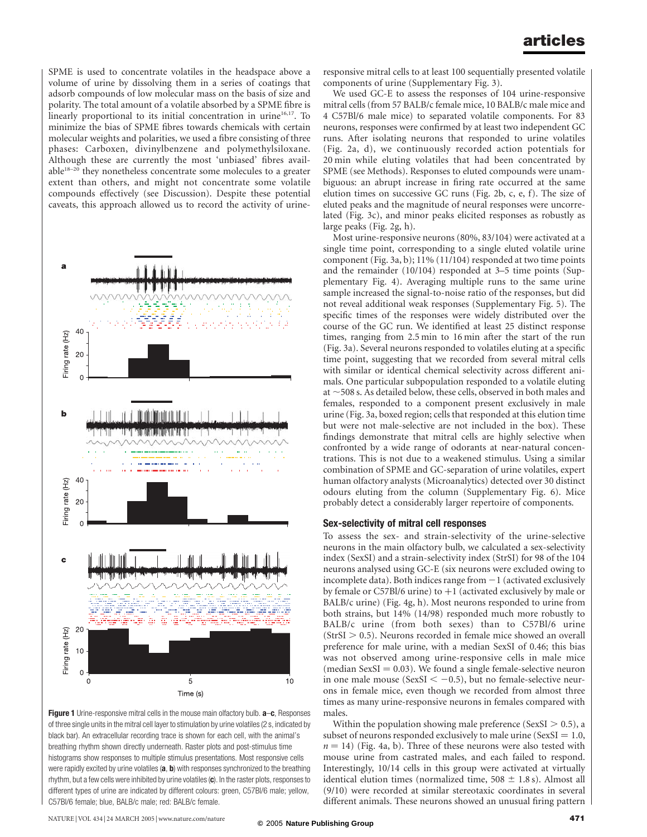SPME is used to concentrate volatiles in the headspace above a volume of urine by dissolving them in a series of coatings that adsorb compounds of low molecular mass on the basis of size and polarity. The total amount of a volatile absorbed by a SPME fibre is linearly proportional to its initial concentration in urine<sup>16,17</sup>. To minimize the bias of SPME fibres towards chemicals with certain molecular weights and polarities, we used a fibre consisting of three phases: Carboxen, divinylbenzene and polymethylsiloxane. Although these are currently the most 'unbiased' fibres available18–20 they nonetheless concentrate some molecules to a greater extent than others, and might not concentrate some volatile compounds effectively (see Discussion). Despite these potential caveats, this approach allowed us to record the activity of urine-



Figure 1 Urine-responsive mitral cells in the mouse main olfactory bulb. a-c, Responses of three single units in the mitral cell layer to stimulation by urine volatiles (2 s, indicated by black bar). An extracellular recording trace is shown for each cell, with the animal's breathing rhythm shown directly underneath. Raster plots and post-stimulus time histograms show responses to multiple stimulus presentations. Most responsive cells were rapidly excited by urine volatiles  $(a, b)$  with responses synchronized to the breathing rhythm, but a few cells were inhibited by urine volatiles (c). In the raster plots, responses to different types of urine are indicated by different colours: green, C57Bl/6 male; yellow, C57Bl/6 female; blue, BALB/c male; red: BALB/c female.

responsive mitral cells to at least 100 sequentially presented volatile components of urine (Supplementary Fig. 3).

We used GC-E to assess the responses of 104 urine-responsive mitral cells (from 57 BALB/c female mice, 10 BALB/c male mice and 4 C57Bl/6 male mice) to separated volatile components. For 83 neurons, responses were confirmed by at least two independent GC runs. After isolating neurons that responded to urine volatiles (Fig. 2a, d), we continuously recorded action potentials for 20 min while eluting volatiles that had been concentrated by SPME (see Methods). Responses to eluted compounds were unambiguous: an abrupt increase in firing rate occurred at the same elution times on successive GC runs (Fig. 2b, c, e, f). The size of eluted peaks and the magnitude of neural responses were uncorrelated (Fig. 3c), and minor peaks elicited responses as robustly as large peaks (Fig. 2g, h).

Most urine-responsive neurons (80%, 83/104) were activated at a single time point, corresponding to a single eluted volatile urine component (Fig. 3a, b); 11% (11/104) responded at two time points and the remainder (10/104) responded at 3–5 time points (Supplementary Fig. 4). Averaging multiple runs to the same urine sample increased the signal-to-noise ratio of the responses, but did not reveal additional weak responses (Supplementary Fig. 5). The specific times of the responses were widely distributed over the course of the GC run. We identified at least 25 distinct response times, ranging from 2.5 min to 16 min after the start of the run (Fig. 3a). Several neurons responded to volatiles eluting at a specific time point, suggesting that we recorded from several mitral cells with similar or identical chemical selectivity across different animals. One particular subpopulation responded to a volatile eluting at  $\sim$  508 s. As detailed below, these cells, observed in both males and females, responded to a component present exclusively in male urine (Fig. 3a, boxed region; cells that responded at this elution time but were not male-selective are not included in the box). These findings demonstrate that mitral cells are highly selective when confronted by a wide range of odorants at near-natural concentrations. This is not due to a weakened stimulus. Using a similar combination of SPME and GC-separation of urine volatiles, expert human olfactory analysts (Microanalytics) detected over 30 distinct odours eluting from the column (Supplementary Fig. 6). Mice probably detect a considerably larger repertoire of components.

### Sex-selectivity of mitral cell responses

To assess the sex- and strain-selectivity of the urine-selective neurons in the main olfactory bulb, we calculated a sex-selectivity index (SexSI) and a strain-selectivity index (StrSI) for 98 of the 104 neurons analysed using GC-E (six neurons were excluded owing to incomplete data). Both indices range from  $-1$  (activated exclusively by female or  $C57B1/6$  urine) to  $+1$  (activated exclusively by male or BALB/c urine) (Fig. 4g, h). Most neurons responded to urine from both strains, but 14% (14/98) responded much more robustly to BALB/c urine (from both sexes) than to C57Bl/6 urine  $(StrSI > 0.5)$ . Neurons recorded in female mice showed an overall preference for male urine, with a median SexSI of 0.46; this bias was not observed among urine-responsive cells in male mice (median SexSI  $= 0.03$ ). We found a single female-selective neuron in one male mouse (SexSI  $<-0.5$ ), but no female-selective neurons in female mice, even though we recorded from almost three times as many urine-responsive neurons in females compared with males.

Within the population showing male preference (SexSI  $> 0.5$ ), a subset of neurons responded exclusively to male urine (SexSI =  $1.0$ ,  $n = 14$ ) (Fig. 4a, b). Three of these neurons were also tested with mouse urine from castrated males, and each failed to respond. Interestingly, 10/14 cells in this group were activated at virtually identical elution times (normalized time,  $508 \pm 1.8$  s). Almost all (9/10) were recorded at similar stereotaxic coordinates in several different animals. These neurons showed an unusual firing pattern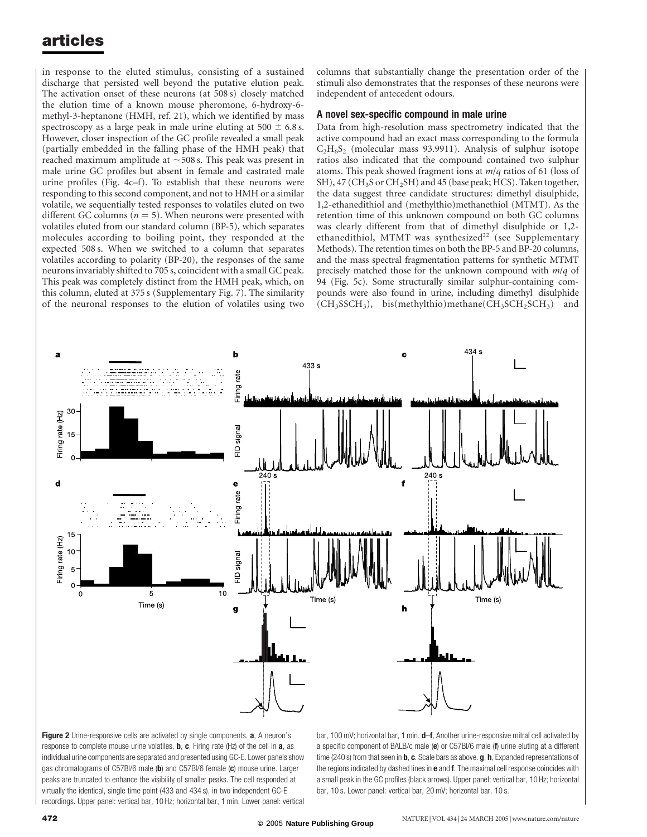in response to the eluted stimulus, consisting of a sustained discharge that persisted well beyond the putative elution peak. The activation onset of these neurons (at 508 s) closely matched the elution time of a known mouse pheromone, 6-hydroxy-6 methyl-3-heptanone (HMH, ref. 21), which we identified by mass spectroscopy as a large peak in male urine eluting at  $500 \pm 6.8$  s. However, closer inspection of the GC profile revealed a small peak (partially embedded in the falling phase of the HMH peak) that reached maximum amplitude at  $\sim$  508 s. This peak was present in male urine GC profiles but absent in female and castrated male urine profiles (Fig. 4c–f). To establish that these neurons were responding to this second component, and not to HMH or a similar volatile, we sequentially tested responses to volatiles eluted on two different GC columns ( $n = 5$ ). When neurons were presented with volatiles eluted from our standard column (BP-5), which separates molecules according to boiling point, they responded at the expected 508 s. When we switched to a column that separates volatiles according to polarity (BP-20), the responses of the same neurons invariably shifted to 705 s, coincident with a small GC peak. This peak was completely distinct from the HMH peak, which, on this column, eluted at 375 s (Supplementary Fig. 7). The similarity of the neuronal responses to the elution of volatiles using two columns that substantially change the presentation order of the stimuli also demonstrates that the responses of these neurons were independent of antecedent odours.

#### A novel sex-specific compound in male urine

Data from high-resolution mass spectrometry indicated that the active compound had an exact mass corresponding to the formula  $C_2H_6S_2$  (molecular mass 93.9911). Analysis of sulphur isotope ratios also indicated that the compound contained two sulphur atoms. This peak showed fragment ions at m/q ratios of 61 (loss of SH), 47 (CH<sub>3</sub>S or CH<sub>2</sub>SH) and 45 (base peak; HCS). Taken together, the data suggest three candidate structures: dimethyl disulphide, 1,2-ethanedithiol and (methylthio)methanethiol (MTMT). As the retention time of this unknown compound on both GC columns was clearly different from that of dimethyl disulphide or 1,2 ethanedithiol, MTMT was synthesized<sup>22</sup> (see Supplementary Methods). The retention times on both the BP-5 and BP-20 columns, and the mass spectral fragmentation patterns for synthetic MTMT precisely matched those for the unknown compound with  $m/q$  of 94 (Fig. 5c). Some structurally similar sulphur-containing compounds were also found in urine, including dimethyl disulphide  $(CH<sub>3</sub>SCH<sub>3</sub>), \text{bis}$ (methylthio)methane(CH<sub>3</sub>SCH<sub>2</sub>SCH<sub>3</sub>) and



Figure 2 Urine-responsive cells are activated by single components. a, A neuron's response to complete mouse urine volatiles.  $\mathbf{b}$ ,  $\mathbf{c}$ , Firing rate (Hz) of the cell in  $\mathbf{a}$ , as individual urine components are separated and presented using GC-E. Lower panels show gas chromatograms of C57BI/6 male (b) and C57BI/6 female (c) mouse urine. Larger peaks are truncated to enhance the visibility of smaller peaks. The cell responded at virtually the identical, single time point (433 and 434 s), in two independent GC-E recordings. Upper panel: vertical bar, 10 Hz; horizontal bar, 1 min. Lower panel: vertical bar, 100 mV; horizontal bar, 1 min. d-f, Another urine-responsive mitral cell activated by a specific component of BALB/c male (e) or C57BI/6 male (f) urine eluting at a different time (240 s) from that seen in **b**, c. Scale bars as above. g, h, Expanded representations of the regions indicated by dashed lines in  $e$  and  $f$ . The maximal cell response coincides with a small peak in the GC profiles (black arrows). Upper panel: vertical bar, 10 Hz; horizontal bar, 10 s. Lower panel: vertical bar, 20 mV; horizontal bar, 10 s.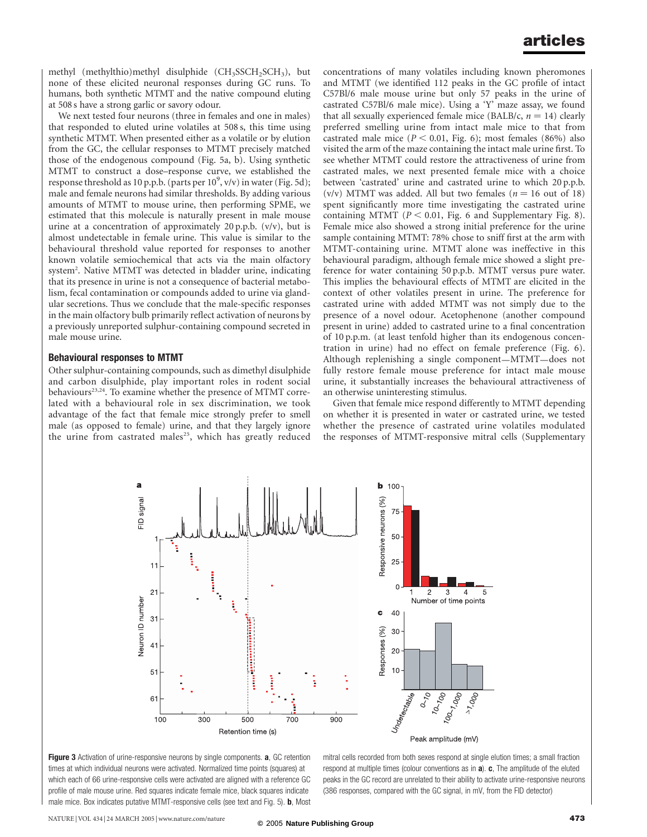methyl (methylthio)methyl disulphide  $(CH<sub>3</sub>SCH<sub>2</sub>SCH<sub>3</sub>)$ , but none of these elicited neuronal responses during GC runs. To humans, both synthetic MTMT and the native compound eluting at 508 s have a strong garlic or savory odour.

We next tested four neurons (three in females and one in males) that responded to eluted urine volatiles at 508 s, this time using synthetic MTMT. When presented either as a volatile or by elution from the GC, the cellular responses to MTMT precisely matched those of the endogenous compound (Fig. 5a, b). Using synthetic MTMT to construct a dose–response curve, we established the response threshold as 10 p.p.b. (parts per  $10^9$ , v/v) in water (Fig. 5d); male and female neurons had similar thresholds. By adding various amounts of MTMT to mouse urine, then performing SPME, we estimated that this molecule is naturally present in male mouse urine at a concentration of approximately 20 p.p.b. (v/v), but is almost undetectable in female urine. This value is similar to the behavioural threshold value reported for responses to another known volatile semiochemical that acts via the main olfactory system<sup>2</sup>. Native MTMT was detected in bladder urine, indicating that its presence in urine is not a consequence of bacterial metabolism, fecal contamination or compounds added to urine via glandular secretions. Thus we conclude that the male-specific responses in the main olfactory bulb primarily reflect activation of neurons by a previously unreported sulphur-containing compound secreted in male mouse urine.

#### Behavioural responses to MTMT

Other sulphur-containing compounds, such as dimethyl disulphide and carbon disulphide, play important roles in rodent social behaviours<sup>23,24</sup>. To examine whether the presence of MTMT correlated with a behavioural role in sex discrimination, we took advantage of the fact that female mice strongly prefer to smell male (as opposed to female) urine, and that they largely ignore the urine from castrated males<sup>25</sup>, which has greatly reduced

concentrations of many volatiles including known pheromones and MTMT (we identified 112 peaks in the GC profile of intact C57Bl/6 male mouse urine but only 57 peaks in the urine of castrated C57Bl/6 male mice). Using a 'Y' maze assay, we found that all sexually experienced female mice (BALB/c,  $n = 14$ ) clearly preferred smelling urine from intact male mice to that from castrated male mice ( $P < 0.01$ , Fig. 6); most females (86%) also visited the arm of the maze containing the intact male urine first. To see whether MTMT could restore the attractiveness of urine from castrated males, we next presented female mice with a choice between 'castrated' urine and castrated urine to which 20 p.p.b. (v/v) MTMT was added. All but two females ( $n = 16$  out of 18) spent significantly more time investigating the castrated urine containing MTMT ( $P < 0.01$ , Fig. 6 and Supplementary Fig. 8). Female mice also showed a strong initial preference for the urine sample containing MTMT: 78% chose to sniff first at the arm with MTMT-containing urine. MTMT alone was ineffective in this behavioural paradigm, although female mice showed a slight preference for water containing 50 p.p.b. MTMT versus pure water. This implies the behavioural effects of MTMT are elicited in the context of other volatiles present in urine. The preference for castrated urine with added MTMT was not simply due to the presence of a novel odour. Acetophenone (another compound present in urine) added to castrated urine to a final concentration of 10 p.p.m. (at least tenfold higher than its endogenous concentration in urine) had no effect on female preference (Fig. 6). Although replenishing a single component—MTMT—does not fully restore female mouse preference for intact male mouse urine, it substantially increases the behavioural attractiveness of an otherwise uninteresting stimulus.

Given that female mice respond differently to MTMT depending on whether it is presented in water or castrated urine, we tested whether the presence of castrated urine volatiles modulated the responses of MTMT-responsive mitral cells (Supplementary





mitral cells recorded from both sexes respond at single elution times; a small fraction respond at multiple times (colour conventions as in  $a$ ).  $c$ , The amplitude of the eluted peaks in the GC record are unrelated to their ability to activate urine-responsive neurons (386 responses, compared with the GC signal, in mV, from the FID detector)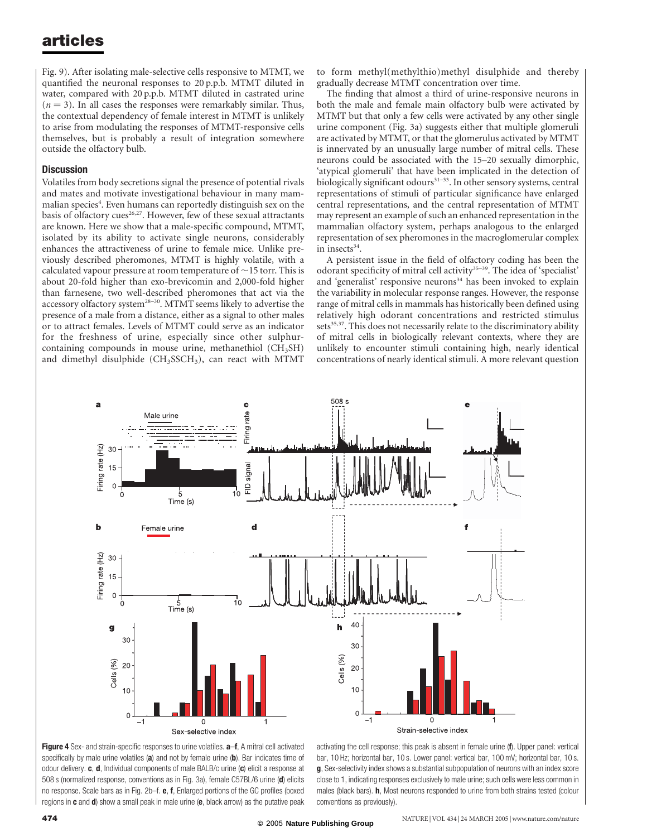Fig. 9). After isolating male-selective cells responsive to MTMT, we quantified the neuronal responses to 20 p.p.b. MTMT diluted in water, compared with 20 p.p.b. MTMT diluted in castrated urine  $(n = 3)$ . In all cases the responses were remarkably similar. Thus, the contextual dependency of female interest in MTMT is unlikely to arise from modulating the responses of MTMT-responsive cells themselves, but is probably a result of integration somewhere outside the olfactory bulb.

#### **Discussion**

Volatiles from body secretions signal the presence of potential rivals and mates and motivate investigational behaviour in many mammalian species<sup>4</sup>. Even humans can reportedly distinguish sex on the basis of olfactory cues<sup>26,27</sup>. However, few of these sexual attractants are known. Here we show that a male-specific compound, MTMT, isolated by its ability to activate single neurons, considerably enhances the attractiveness of urine to female mice. Unlike previously described pheromones, MTMT is highly volatile, with a calculated vapour pressure at room temperature of  $\sim$  15 torr. This is about 20-fold higher than exo-brevicomin and 2,000-fold higher than farnesene, two well-described pheromones that act via the accessory olfactory system<sup>28–30</sup>. MTMT seems likely to advertise the presence of a male from a distance, either as a signal to other males or to attract females. Levels of MTMT could serve as an indicator for the freshness of urine, especially since other sulphurcontaining compounds in mouse urine, methanethiol  $(CH_3SH)$ and dimethyl disulphide  $(CH<sub>3</sub>SCH<sub>3</sub>)$ , can react with MTMT

to form methyl(methylthio)methyl disulphide and thereby gradually decrease MTMT concentration over time.

The finding that almost a third of urine-responsive neurons in both the male and female main olfactory bulb were activated by MTMT but that only a few cells were activated by any other single urine component (Fig. 3a) suggests either that multiple glomeruli are activated by MTMT, or that the glomerulus activated by MTMT is innervated by an unusually large number of mitral cells. These neurons could be associated with the 15–20 sexually dimorphic, 'atypical glomeruli' that have been implicated in the detection of biologically significant odours<sup>31-33</sup>. In other sensory systems, central representations of stimuli of particular significance have enlarged central representations, and the central representation of MTMT may represent an example of such an enhanced representation in the mammalian olfactory system, perhaps analogous to the enlarged representation of sex pheromones in the macroglomerular complex in insects $34$ .

A persistent issue in the field of olfactory coding has been the odorant specificity of mitral cell activity<sup>35-39</sup>. The idea of 'specialist' and 'generalist' responsive neurons<sup>34</sup> has been invoked to explain the variability in molecular response ranges. However, the response range of mitral cells in mammals has historically been defined using relatively high odorant concentrations and restricted stimulus sets<sup>35,37</sup>. This does not necessarily relate to the discriminatory ability of mitral cells in biologically relevant contexts, where they are unlikely to encounter stimuli containing high, nearly identical concentrations of nearly identical stimuli. A more relevant question



Figure 4 Sex- and strain-specific responses to urine volatiles.  $a$ -f, A mitral cell activated specifically by male urine volatiles (a) and not by female urine (b). Bar indicates time of odour delivery. c, d, Individual components of male BALB/c urine (c) elicit a response at 508 s (normalized response, conventions as in Fig. 3a), female C57BL/6 urine (d) elicits no response. Scale bars as in Fig. 2b–f. e, f, Enlarged portions of the GC profiles (boxed regions in  $c$  and  $d$ ) show a small peak in male urine  $(e,$  black arrow) as the putative peak

activating the cell response; this peak is absent in female urine (f). Upper panel: vertical bar, 10 Hz; horizontal bar, 10 s. Lower panel: vertical bar, 100 mV; horizontal bar, 10 s. g, Sex-selectivity index shows a substantial subpopulation of neurons with an index score close to 1, indicating responses exclusively to male urine; such cells were less common in males (black bars). **h**, Most neurons responded to urine from both strains tested (colour conventions as previously).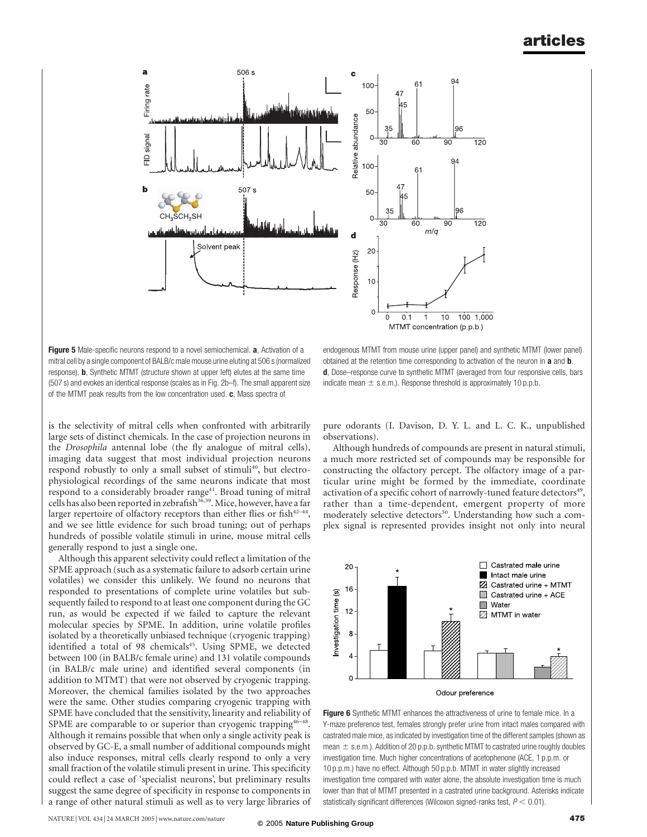

Figure 5 Male-specific neurons respond to a novel semiochemical. a, Activation of a mitral cell by a single component of BALB/c male mouse urine eluting at 506 s (normalized response). b, Synthetic MTMT (structure shown at upper left) elutes at the same time (507 s) and evokes an identical response (scales as in Fig. 2b–f). The small apparent size of the MTMT peak results from the low concentration used. c, Mass spectra of

is the selectivity of mitral cells when confronted with arbitrarily large sets of distinct chemicals. In the case of projection neurons in the Drosophila antennal lobe (the fly analogue of mitral cells), imaging data suggest that most individual projection neurons respond robustly to only a small subset of stimuli<sup>40</sup>, but electrophysiological recordings of the same neurons indicate that most respond to a considerably broader range<sup>41</sup>. Broad tuning of mitral cells has also been reported in zebrafish<sup>36,39</sup>. Mice, however, have a far larger repertoire of olfactory receptors than either flies or fish<sup>42-44</sup>, and we see little evidence for such broad tuning; out of perhaps hundreds of possible volatile stimuli in urine, mouse mitral cells generally respond to just a single one.

Although this apparent selectivity could reflect a limitation of the SPME approach (such as a systematic failure to adsorb certain urine volatiles) we consider this unlikely. We found no neurons that responded to presentations of complete urine volatiles but subsequently failed to respond to at least one component during the GC run, as would be expected if we failed to capture the relevant molecular species by SPME. In addition, urine volatile profiles isolated by a theoretically unbiased technique (cryogenic trapping) identified a total of 98 chemicals<sup>45</sup>. Using SPME, we detected between 100 (in BALB/c female urine) and 131 volatile compounds (in BALB/c male urine) and identified several components (in addition to MTMT) that were not observed by cryogenic trapping. Moreover, the chemical families isolated by the two approaches were the same. Other studies comparing cryogenic trapping with SPME have concluded that the sensitivity, linearity and reliability of SPME are comparable to or superior than cryogenic trapping<sup>46-1</sup> Although it remains possible that when only a single activity peak is observed by GC-E, a small number of additional compounds might also induce responses, mitral cells clearly respond to only a very small fraction of the volatile stimuli present in urine. This specificity could reflect a case of 'specialist neurons', but preliminary results suggest the same degree of specificity in response to components in a range of other natural stimuli as well as to very large libraries of

endogenous MTMT from mouse urine (upper panel) and synthetic MTMT (lower panel) obtained at the retention time corresponding to activation of the neuron in a and **b**. d, Dose–response curve to synthetic MTMT (averaged from four responsive cells, bars indicate mean  $\pm$  s.e.m.). Response threshold is approximately 10 p.p.b.

pure odorants (I. Davison, D. Y. L. and L. C. K., unpublished observations).

Although hundreds of compounds are present in natural stimuli, a much more restricted set of compounds may be responsible for constructing the olfactory percept. The olfactory image of a particular urine might be formed by the immediate, coordinate activation of a specific cohort of narrowly-tuned feature detectors<sup>49</sup>, rather than a time-dependent, emergent property of more moderately selective detectors<sup>50</sup>. Understanding how such a complex signal is represented provides insight not only into neural



Figure 6 Synthetic MTMT enhances the attractiveness of urine to female mice. In a Y-maze preference test, females strongly prefer urine from intact males compared with castrated male mice, as indicated by investigation time of the different samples (shown as mean  $\pm$  s.e.m.). Addition of 20 p.p.b. synthetic MTMT to castrated urine roughly doubles investigation time. Much higher concentrations of acetophenone (ACE, 1 p.p.m. or 10 p.p.m.) have no effect. Although 50 p.p.b. MTMT in water slightly increased investigation time compared with water alone, the absolute investigation time is much lower than that of MTMT presented in a castrated urine background. Asterisks indicate statistically significant differences (Wilcoxon signed-ranks test,  $P < 0.01$ ).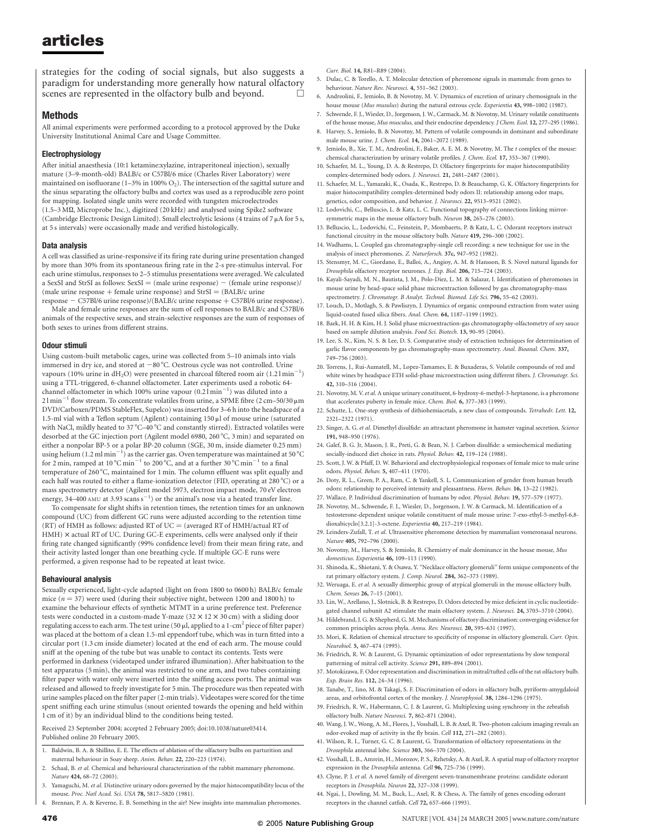strategies for the coding of social signals, but also suggests a paradigm for understanding more generally how natural olfactory scenes are represented in the olfactory bulb and beyond.

#### Methods

All animal experiments were performed according to a protocol approved by the Duke University Institutional Animal Care and Usage Committee.

#### Electrophysiology

After initial anaesthesia (10:1 ketamine:xylazine, intraperitoneal injection), sexually mature (3–9-month-old) BALB/c or C57Bl/6 mice (Charles River Laboratory) were maintained on isofluorane (1–3% in 100%  $O_2$ ). The intersection of the sagittal suture and the sinus separating the olfactory bulbs and cortex was used as a reproducible zero point for mapping. Isolated single units were recorded with tungsten microelectrodes (1.5–3 MQ, Microprobe Inc.), digitized (20 kHz) and analysed using Spike2 software (Cambridge Electronic Design Limited). Small electrolytic lesions (4 trains of 7  $\mu$ A for 5 s, at 5 s intervals) were occasionally made and verified histologically.

#### Data analysis

A cell was classified as urine-responsive if its firing rate during urine presentation changed by more than 30% from its spontaneous firing rate in the 2-s pre-stimulus interval. For each urine stimulus, responses to 2–5 stimulus presentations were averaged. We calculated a SexSI and StrSI as follows:  $SexSI = (male urine response) - (female urine response) /$ (male urine response + female urine response) and  $StrSI = (BALB/c$  urine

response - C57Bl/6 urine response)/(BALB/c urine response + C57Bl/6 urine response). Male and female urine responses are the sum of cell responses to BALB/c and C57Bl/6 animals of the respective sexes, and strain-selective responses are the sum of responses of both sexes to urines from different strains.

#### Odour stimuli

Using custom-built metabolic cages, urine was collected from 5–10 animals into vials immersed in dry ice, and stored at  $-80^{\circ}$ C. Oestrous cycle was not controlled. Urine vapours (10% urine in  $dH_2O$ ) were presented in charcoal filtered room air (1.2 l min<sup>-</sup> ) using a TTL-triggered, 6-channel olfactometer. Later experiments used a robotic 64 channel olfactometer in which 100% urine vapour  $(0.2 \text{ N} \text{ min}^{-1})$  was diluted into a  $21 \text{min}^{-1}$  flow stream. To concentrate volatiles from urine, a SPME fibre (2 cm–50/30  $\mu$ m DVD/Carboxen/PDMS StableFlex, Supelco) was inserted for 3–6 h into the headspace of a 1.5-ml vial with a Teflon septum (Agilent) containing  $150 \mu$ l of mouse urine (saturated with NaCl, mildly heated to 37°C-40°C and constantly stirred). Extracted volatiles were desorbed at the GC injection port (Agilent model 6980, 260 °C, 3 min) and separated on either a nonpolar BP-5 or a polar BP-20 column (SGE, 30 m, inside diameter 0.25 mm) using helium  $(1.2 \text{ ml min}^{-1})$  as the carrier gas. Oven temperature was maintained at 50 °C for 2 min, ramped at  $10^{\circ}$ C min<sup>-1</sup> to 200 $^{\circ}$ C, and at a further 30 $^{\circ}$ C min<sup>-1</sup> to a final temperature of 260 °C, maintained for 1 min. The column effluent was split equally and each half was routed to either a flame-ionization detector (FID, operating at 280 °C) or a mass spectrometry detector (Agilent model 5973, electron impact mode, 70 eV electron energy, 34–400 AMU at 3.93 scans  $s^{-1}$ ) or the animal's nose via a heated transfer line.

To compensate for slight shifts in retention times, the retention times for an unknown compound (UC) from different GC runs were adjusted according to the retention time (RT) of HMH as follows: adjusted RT of UC  $=$  (averaged RT of HMH/actual RT of  $HMH)$   $\times$  actual RT of UC. During GC-E experiments, cells were analysed only if their firing rate changed significantly (99% confidence level) from their mean firing rate, and their activity lasted longer than one breathing cycle. If multiple GC-E runs were performed, a given response had to be repeated at least twice.

#### Behavioural analysis

Sexually experienced, light-cycle adapted (light on from 1800 to 0600 h) BALB/c female mice ( $n = 37$ ) were used (during their subjective night, between 1200 and 1800 h) to examine the behaviour effects of synthetic MTMT in a urine preference test. Preference tests were conducted in a custom-made Y-maze (32  $\times$  12  $\times$  30 cm) with a sliding door regulating access to each arm. The test urine (50  $\mu$ l, applied to a 1-cm<sup>2</sup> piece of filter paper) was placed at the bottom of a clean 1.5-ml eppendorf tube, which was in turn fitted into a circular port (1.3 cm inside diameter) located at the end of each arm. The mouse could sniff at the opening of the tube but was unable to contact its contents. Tests were performed in darkness (videotaped under infrared illumination). After habituation to the test apparatus (5 min), the animal was restricted to one arm, and two tubes containing filter paper with water only were inserted into the sniffing access ports. The animal was released and allowed to freely investigate for 5 min. The procedure was then repeated with urine samples placed on the filter paper (2-min trials). Videotapes were scored for the time spent sniffing each urine stimulus (snout oriented towards the opening and held within 1 cm of it) by an individual blind to the conditions being tested.

Received 23 September 2004; accepted 2 February 2005; doi:10.1038/nature03414. Published online 20 February 2005.

- 1. Baldwin, B. A. & Shillito, E. E. The effects of ablation of the olfactory bulbs on parturition and maternal behaviour in Soay sheep. Anim. Behav. 22, 220–223 (1974).
- 2. Schaal, B. et al. Chemical and behavioural characterization of the rabbit mammary pheromone. Nature 424, 68–72 (2003).
- 3. Yamaguchi, M. et al. Distinctive urinary odors governed by the major histocompatibility locus of the mouse. Proc. Natl Acad. Sci. USA 78, 5817–5820 (1981).
- 4. Brennan, P. A. & Keverne, E. B. Something in the air? New insights into mammalian pheromones.

Curr. Biol. 14, R81–R89 (2004).

- 5. Dulac, C. & Torello, A. T. Molecular detection of pheromone signals in mammals: from genes to behaviour. Nature Rev. Neurosci. 4, 551–562 (2003).
- 6. Andreolini, F., Jemiolo, B. & Novotny, M. V. Dynamics of excretion of urinary chemosignals in the house mouse (Mus musulus) during the natural estrous cycle. Experientia 43, 998–1002 (1987).
- 7. Schwende, F. J., Wiesler, D., Jorgenson, J. W., Carmack, M. & Novotny, M. Urinary volatile constituents of the house mouse, Mus musculus, and their endocrine dependency. J Chem. Ecol. 12, 277–295 (1986).
- 8. Harvey, S., Jemiolo, B. & Novotny, M. Pattern of volatile compounds in dominant and subordinate male mouse urine. J. Chem. Ecol. 14, 2061–2072 (1989).
- 9. Jemiolo, B., Xie, T. M., Andreolini, F., Baker, A. E. M. & Novotny, M. The t complex of the mouse: chemical characterization by urinary volatile profiles. J. Chem. Ecol. 17, 353–367 (1990).
- 10. Schaefer, M. L., Young, D. A. & Restrepo, D. Olfactory fingerprints for major histocompatibility complex-determined body odors. J. Neurosci. 21, 2481–2487 (2001).
- 11. Schaefer, M. L., Yamazaki, K., Osada, K., Restrepo, D. & Beauchamp, G. K. Olfactory fingerprints for major histocompatibility complex-determined body odors II: relationship among odor maps, genetics, odor composition, and behavior. J. Neurosci. 22, 9513–9521 (2002).
- 12. Lodovichi, C., Belluscio, L. & Katz, L. C. Functional topography of connections linking mirrorsymmetric maps in the mouse olfactory bulb. Neuron 38, 265–276 (2003).
- 13. Belluscio, L., Lodovichi, C., Feinstein, P., Mombaerts, P. & Katz, L. C. Odorant receptors instruct functional circuitry in the mouse olfactory bulb. Nature 419, 296–300 (2002).
- 14. Wadhams, L. Coupled gas chromatography-single cell recording: a new technique for use in the analysis of insect pheromones. Z. Naturforsch. 37c, 947-952 (1982).
- 15. Stensmyr, M. C., Giordano, E., Balloi, A., Angioy, A. M. & Hansson, B. S. Novel natural ligands for Drosophila olfactory receptor neurones. J. Exp. Biol. 206, 715–724 (2003).
- 16. Kayali-Sayadi, M. N., Bautista, J. M., Polo-Diez, L. M. & Salazar, I. Identification of pheromones in mouse urine by head-space solid phase microextraction followed by gas chromatography-mass spectrometry. J. Chromatogr. B Analyt. Technol. Biomed. Life Sci. 796, 55–62 (2003).
- 17. Louch, D., Motlagh, S. & Pawliszyn, J. Dynamics of organic compound extraction from water using liquid-coated fused silica fibers. Anal. Chem. 64, 1187–1199 (1992).
- 18. Baek, H. H. & Kim, H. J. Solid phase microextraction-gas chromatography-olfactometry of soy sauce based on sample dilution analysis. Food Sci. Biotech. 13, 90–95 (2004).
- 19. Lee, S. N., Kim, N. S. & Lee, D. S. Comparative study of extraction techniques for determination of garlic flavor components by gas chromatography-mass spectrometry. Anal. Bioanal. Chem. 337, 749–756 (2003).
- 20. Torrens, J., Rui-Aumatell, M., Lopez-Tamames, E. & Buxaderas, S. Volatile compounds of red and white wines by headspace ETH solid-phase microextraction using different fibers. J. Chromatogr. Sci. 42, 310–316 (2004).
- 21. Novotny, M. V. et al. A unique urinary constituent, 6-hydroxy-6-methyl-3-heptanone, is a pheromone that accelerates puberty in female mice. Chem. Biol. 6, 377–383 (1999).
- 22. Schutte, L. One-step synthesis of dithiohemiacetals, a new class of compounds. Tetrahedr. Lett. 12, 2321–2322 (1971).
- 23. Singer, A. G. et al. Dimethyl disulfide: an attractant pheromone in hamster vaginal secretion. Science 191, 948–950 (1976).
- 24. Galef, B. G. Jr, Mason, J. R., Preti, G. & Bean, N. J. Carbon disulfide: a semiochemical mediating socially-induced diet choice in rats. Physiol. Behav. 42, 119–124 (1988).
- 25. Scott, J. W. & Pfaff, D. W. Behavioral and electrophysiological responses of female mice to male urine odors. Physiol. Behav. 5, 407–411 (1970).
- 26. Doty, R. L., Green, P. A., Ram, C. & Yankell, S. L. Communication of gender from human breath odors: relationship to perceived intensity and pleasantness. Horm. Behav. 16, 13–22 (1982).
- 27. Wallace, P. Individual discrimination of humans by odor. Physiol. Behav. 19, 577–579 (1977). 28. Novotny, M., Schwende, F. J., Wiesler, D., Jorgenson, J. W. & Carmack, M. Identification of a
- testosterone-dependent unique volatile constituent of male mouse urine: 7-exo-ethyl-5-methyl-6,8 dioxabicyclo[3.2.1]-3-octene. Experientia 40, 217–219 (1984).
- 29. Leinders-Zufall, T. et al. Ultrasensitive pheromone detection by mammalian vomeronasal neurons. Nature 405, 792–796 (2000).
- 30. Novotny, M., Harvey, S. & Jemiolo, B. Chemistry of male dominance in the house mouse, Mus domesticus. Experientia 46, 109–113 (1990).
- 31. Shinoda, K., Shiotani, Y. & Osawa, Y. "Necklace olfactory glomeruli" form unique components of the rat primary olfactory system. J. Comp. Neurol. 284, 362–373 (1989).
- 32. Weruaga, E. et al. A sexually dimorphic group of atypical glomeruli in the mouse olfactory bulb. Chem. Senses 26, 7–15 (2001).
- 33. Lin, W., Arellano, J., Slotnick, B. & Restrepo, D. Odors detected by mice deficient in cyclic nucleotidegated channel subunit A2 stimulate the main olfactory system. J. Neurosci. 24, 3703–3710 (2004).
- 34. Hildebrand, J. G. & Shepherd, G. M. Mechanisms of olfactory discrimination: converging evidence for common principles across phyla. Annu. Rev. Neurosci. 20, 595–631 (1997).
- 35. Mori, K. Relation of chemical structure to specificity of response in olfactory glomeruli. Curr. Opin. Neurobiol. 5, 467–474 (1995).
- 36. Friedrich, R. W. & Laurent, G. Dynamic optimization of odor representations by slow temporal patterning of mitral cell activity. Science 291, 889–894 (2001).
- 37. Motokizawa, F. Odor representation and discrimination in mitral/tufted cells of the rat olfactory bulb. Exp. Brain Res. 112, 24–34 (1996).
- 38. Tanabe, T., Iino, M. & Takagi, S. F. Discrimination of odors in olfactory bulb, pyriform-amygdaloid areas, and orbitofrontal cortex of the monkey. J. Neurophysiol. 38, 1284–1296 (1975).
- 39. Friedrich, R. W., Habermann, C. J. & Laurent, G. Multiplexing using synchrony in the zebrafish olfactory bulb. Nature Neurosci. 7, 862–871 (2004).
- 40. Wang, J. W., Wong, A. M., Flores, J., Vosshall, L. B. & Axel, R. Two-photon calcium imaging reveals an odor-evoked map of activity in the fly brain. Cell 112, 271–282 (2003).
- 41. Wilson, R. I., Turner, G. C. & Laurent, G. Transformation of olfactory representations in the Drosophila antennal lobe. Science 303, 366–370 (2004).
- 42. Vosshall, L. B., Amrein, H., Morozov, P. S., Rzhetsky, A. & Axel, R. A spatial map of olfactory receptor expression in the Drosophila antenna. Cell 96, 725–736 (1999).
- 43. Clyne, P. L. et al. A novel family of divergent seven-transmembrane proteins: candidate odorant receptors in Drosophila. Neuron 22, 327–338 (1999).
- 44. Ngai, J., Dowling, M. M., Buck, L., Axel, R. & Chess, A. The family of genes encoding odorant receptors in the channel catfish. Cell 72, 657–666 (1993).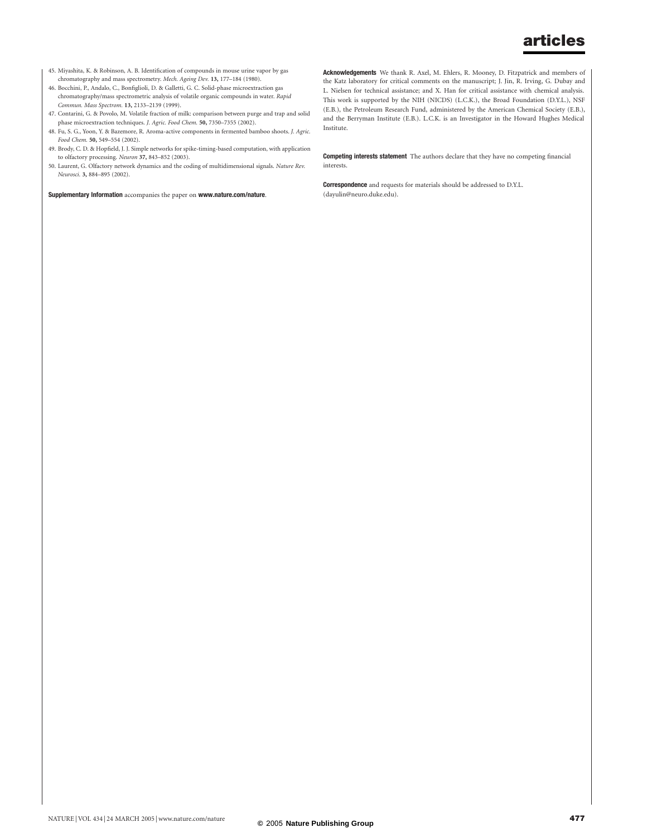- 45. Miyashita, K. & Robinson, A. B. Identification of compounds in mouse urine vapor by gas chromatography and mass spectrometry. Mech. Ageing Dev. 13, 177-184 (1980).
- 46. Bocchini, P., Andalo, C., Bonfiglioli, D. & Galletti, G. C. Solid-phase microextraction gas chromatography/mass spectrometric analysis of volatile organic compounds in water. Rapid Commun. Mass Spectrom. 13, 2133–2139 (1999).
- 47. Contarini, G. & Povolo, M. Volatile fraction of milk: comparison between purge and trap and solid phase microextraction techniques. J. Agric. Food Chem. 50, 7350–7355 (2002).
- 48. Fu, S. G., Yoon, Y. & Bazemore, R. Aroma-active components in fermented bamboo shoots. J. Agric. Food Chem. 50, 549–554 (2002).
- 49. Brody, C. D. & Hopfield, J. J. Simple networks for spike-timing-based computation, with application to olfactory processing. Neuron 37, 843–852 (2003).
- 50. Laurent, G. Olfactory network dynamics and the coding of multidimensional signals. Nature Rev. Neurosci. 3, 884–895 (2002).

Supplementary Information accompanies the paper on www.nature.com/nature.

Acknowledgements We thank R. Axel, M. Ehlers, R. Mooney, D. Fitzpatrick and members of the Katz laboratory for critical comments on the manuscript; J. Jin, R. Irving, G. Dubay and L. Nielsen for technical assistance; and X. Han for critical assistance with chemical analysis. This work is supported by the NIH (NICDS) (L.C.K.), the Broad Foundation (D.Y.L.), NSF (E.B.), the Petroleum Research Fund, administered by the American Chemical Society (E.B.), and the Berryman Institute (E.B.). L.C.K. is an Investigator in the Howard Hughes Medical Institute.

Competing interests statement The authors declare that they have no competing financial interests.

Correspondence and requests for materials should be addressed to D.Y.L. (dayulin@neuro.duke.edu).